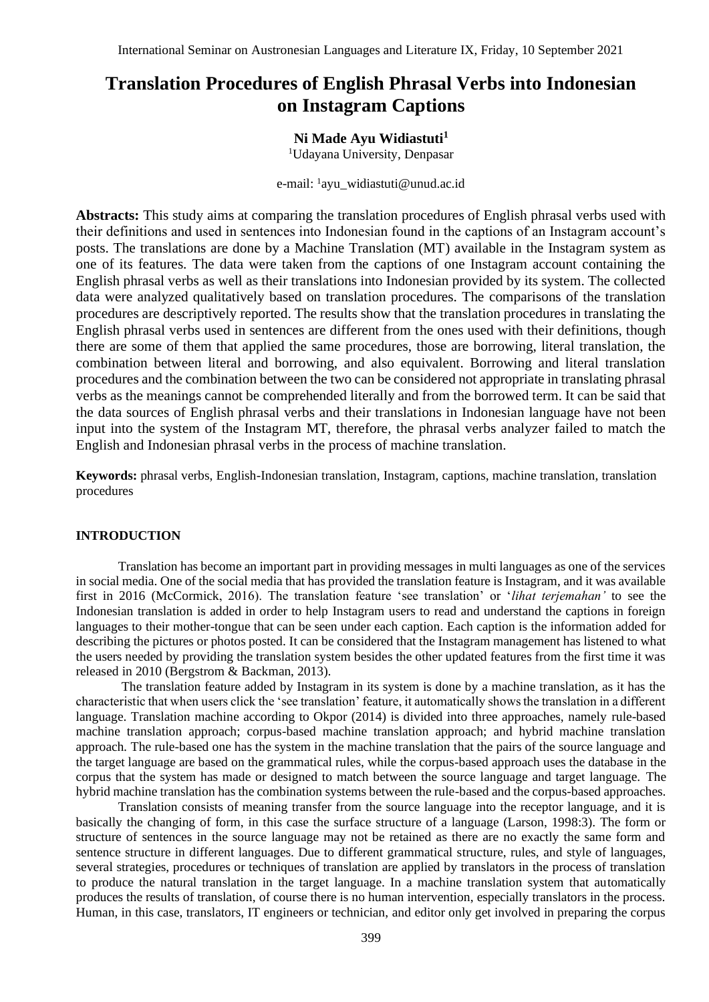# **Translation Procedures of English Phrasal Verbs into Indonesian on Instagram Captions**

# **Ni Made Ayu Widiastuti<sup>1</sup>**

<sup>1</sup>Udayana University, Denpasar

e-mail: <sup>1</sup>ayu\_widiastuti@unud.ac.id

**Abstracts:** This study aims at comparing the translation procedures of English phrasal verbs used with their definitions and used in sentences into Indonesian found in the captions of an Instagram account's posts. The translations are done by a Machine Translation (MT) available in the Instagram system as one of its features. The data were taken from the captions of one Instagram account containing the English phrasal verbs as well as their translations into Indonesian provided by its system. The collected data were analyzed qualitatively based on translation procedures. The comparisons of the translation procedures are descriptively reported. The results show that the translation procedures in translating the English phrasal verbs used in sentences are different from the ones used with their definitions, though there are some of them that applied the same procedures, those are borrowing, literal translation, the combination between literal and borrowing, and also equivalent. Borrowing and literal translation procedures and the combination between the two can be considered not appropriate in translating phrasal verbs as the meanings cannot be comprehended literally and from the borrowed term. It can be said that the data sources of English phrasal verbs and their translations in Indonesian language have not been input into the system of the Instagram MT, therefore, the phrasal verbs analyzer failed to match the English and Indonesian phrasal verbs in the process of machine translation.

**Keywords:** phrasal verbs, English-Indonesian translation, Instagram, captions, machine translation, translation procedures

### **INTRODUCTION**

Translation has become an important part in providing messages in multi languages as one of the services in social media. One of the social media that has provided the translation feature is Instagram, and it was available first in 2016 [\(McCormick,](https://www.theverge.com/users/Rich%20McCormick) 2016). The translation feature 'see translation' or '*lihat terjemahan'* to see the Indonesian translation is added in order to help Instagram users to read and understand the captions in foreign languages to their mother-tongue that can be seen under each caption. Each caption is the information added for describing the pictures or photos posted. It can be considered that the Instagram management has listened to what the users needed by providing the translation system besides the other updated features from the first time it was released in 2010 (Bergstrom & Backman, 2013).

The translation feature added by Instagram in its system is done by a machine translation, as it has the characteristic that when users click the 'see translation' feature, it automatically shows the translation in a different language. Translation machine according to Okpor (2014) is divided into three approaches, namely rule-based machine translation approach; corpus-based machine translation approach; and hybrid machine translation approach*.* The rule-based one has the system in the machine translation that the pairs of the source language and the target language are based on the grammatical rules, while the corpus-based approach uses the database in the corpus that the system has made or designed to match between the source language and target language. The hybrid machine translation has the combination systems between the rule-based and the corpus-based approaches.

Translation consists of meaning transfer from the source language into the receptor language, and it is basically the changing of form, in this case the surface structure of a language (Larson, 1998:3). The form or structure of sentences in the source language may not be retained as there are no exactly the same form and sentence structure in different languages. Due to different grammatical structure, rules, and style of languages, several strategies, procedures or techniques of translation are applied by translators in the process of translation to produce the natural translation in the target language. In a machine translation system that automatically produces the results of translation, of course there is no human intervention, especially translators in the process. Human, in this case, translators, IT engineers or technician, and editor only get involved in preparing the corpus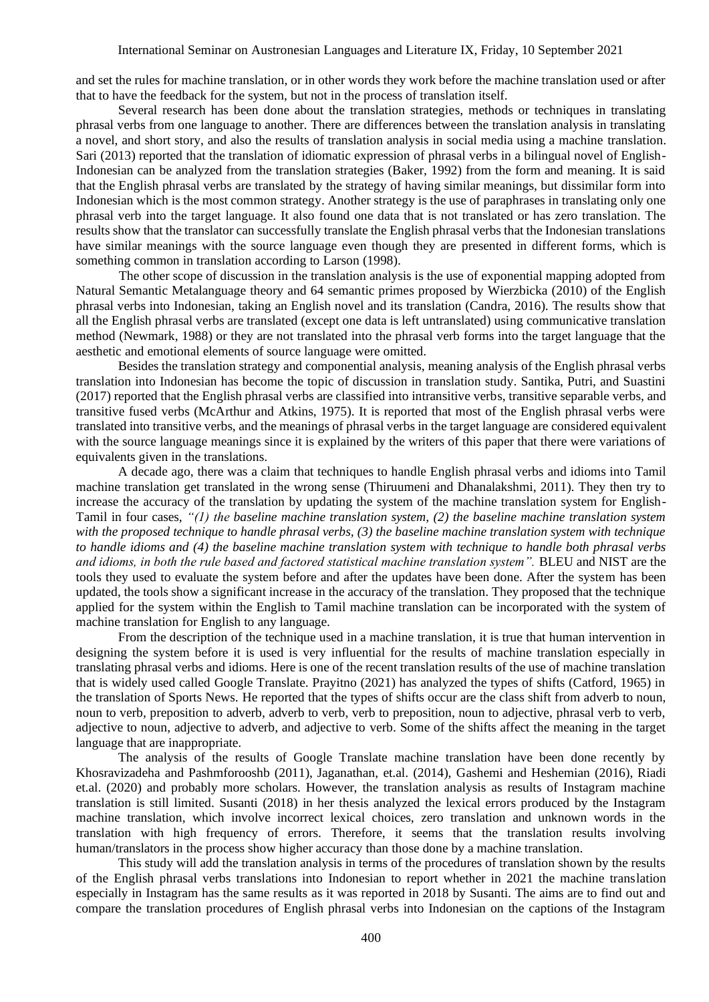and set the rules for machine translation, or in other words they work before the machine translation used or after that to have the feedback for the system, but not in the process of translation itself.

Several research has been done about the translation strategies, methods or techniques in translating phrasal verbs from one language to another. There are differences between the translation analysis in translating a novel, and short story, and also the results of translation analysis in social media using a machine translation. Sari (2013) reported that the translation of idiomatic expression of phrasal verbs in a bilingual novel of English-Indonesian can be analyzed from the translation strategies (Baker, 1992) from the form and meaning. It is said that the English phrasal verbs are translated by the strategy of having similar meanings, but dissimilar form into Indonesian which is the most common strategy. Another strategy is the use of paraphrases in translating only one phrasal verb into the target language. It also found one data that is not translated or has zero translation. The results show that the translator can successfully translate the English phrasal verbs that the Indonesian translations have similar meanings with the source language even though they are presented in different forms, which is something common in translation according to Larson (1998).

The other scope of discussion in the translation analysis is the use of exponential mapping adopted from Natural Semantic Metalanguage theory and 64 semantic primes proposed by Wierzbicka (2010) of the English phrasal verbs into Indonesian, taking an English novel and its translation (Candra, 2016). The results show that all the English phrasal verbs are translated (except one data is left untranslated) using communicative translation method (Newmark, 1988) or they are not translated into the phrasal verb forms into the target language that the aesthetic and emotional elements of source language were omitted.

Besides the translation strategy and componential analysis, meaning analysis of the English phrasal verbs translation into Indonesian has become the topic of discussion in translation study. Santika, Putri, and Suastini (2017) reported that the English phrasal verbs are classified into intransitive verbs, transitive separable verbs, and transitive fused verbs (McArthur and Atkins, 1975). It is reported that most of the English phrasal verbs were translated into transitive verbs, and the meanings of phrasal verbs in the target language are considered equivalent with the source language meanings since it is explained by the writers of this paper that there were variations of equivalents given in the translations.

A decade ago, there was a claim that techniques to handle English phrasal verbs and idioms into Tamil machine translation get translated in the wrong sense (Thiruumeni and Dhanalakshmi, 2011). They then try to increase the accuracy of the translation by updating the system of the machine translation system for English-Tamil in four cases, *"(1) the baseline machine translation system, (2) the baseline machine translation system with the proposed technique to handle phrasal verbs, (3) the baseline machine translation system with technique to handle idioms and (4) the baseline machine translation system with technique to handle both phrasal verbs and idioms, in both the rule based and factored statistical machine translation system".* BLEU and NIST are the tools they used to evaluate the system before and after the updates have been done. After the system has been updated, the tools show a significant increase in the accuracy of the translation. They proposed that the technique applied for the system within the English to Tamil machine translation can be incorporated with the system of machine translation for English to any language.

From the description of the technique used in a machine translation, it is true that human intervention in designing the system before it is used is very influential for the results of machine translation especially in translating phrasal verbs and idioms. Here is one of the recent translation results of the use of machine translation that is widely used called Google Translate. Prayitno (2021) has analyzed the types of shifts (Catford, 1965) in the translation of Sports News. He reported that the types of shifts occur are the class shift from adverb to noun, noun to verb, preposition to adverb, adverb to verb, verb to preposition, noun to adjective, phrasal verb to verb, adjective to noun, adjective to adverb, and adjective to verb. Some of the shifts affect the meaning in the target language that are inappropriate.

The analysis of the results of Google Translate machine translation have been done recently by Khosravizadeha and Pashmforooshb (2011), Jaganathan, et.al. (2014), Gashemi and Heshemian (2016), Riadi et.al. (2020) and probably more scholars. However, the translation analysis as results of Instagram machine translation is still limited. Susanti (2018) in her thesis analyzed the lexical errors produced by the Instagram machine translation, which involve incorrect lexical choices, zero translation and unknown words in the translation with high frequency of errors. Therefore, it seems that the translation results involving human/translators in the process show higher accuracy than those done by a machine translation.

This study will add the translation analysis in terms of the procedures of translation shown by the results of the English phrasal verbs translations into Indonesian to report whether in 2021 the machine translation especially in Instagram has the same results as it was reported in 2018 by Susanti. The aims are to find out and compare the translation procedures of English phrasal verbs into Indonesian on the captions of the Instagram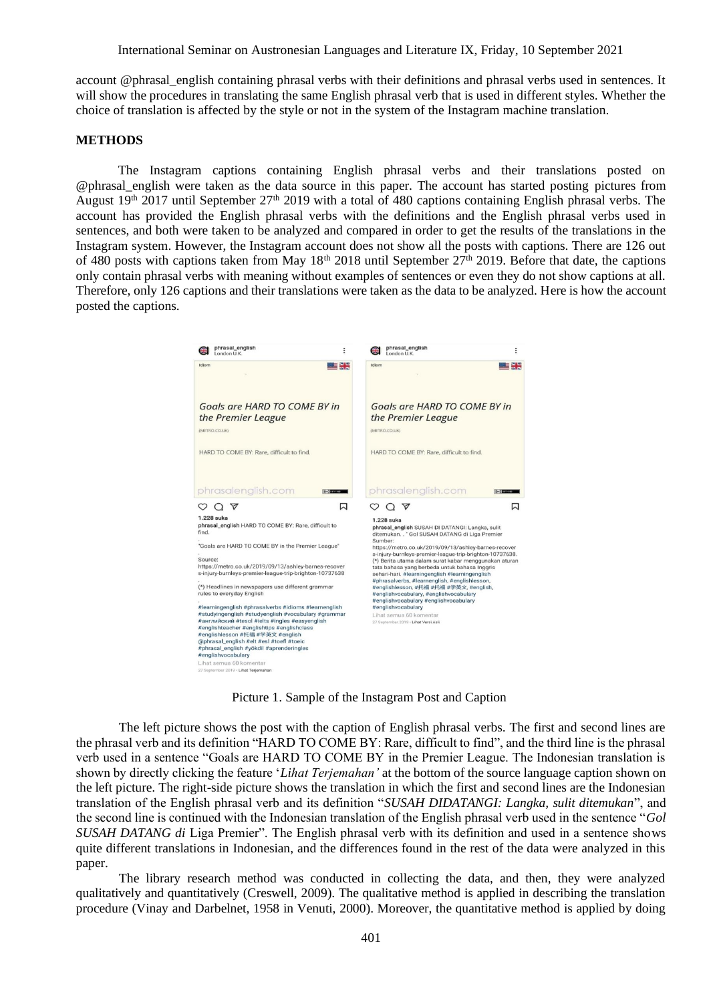International Seminar on Austronesian Languages and Literature IX, Friday, 10 September 2021

account @phrasal\_english containing phrasal verbs with their definitions and phrasal verbs used in sentences. It will show the procedures in translating the same English phrasal verb that is used in different styles. Whether the choice of translation is affected by the style or not in the system of the Instagram machine translation.

#### **METHODS**

The Instagram captions containing English phrasal verbs and their translations posted on @phrasal\_english were taken as the data source in this paper. The account has started posting pictures from August 19<sup>th</sup> 2017 until September 27<sup>th</sup> 2019 with a total of 480 captions containing English phrasal verbs. The account has provided the English phrasal verbs with the definitions and the English phrasal verbs used in sentences, and both were taken to be analyzed and compared in order to get the results of the translations in the Instagram system. However, the Instagram account does not show all the posts with captions. There are 126 out of 480 posts with captions taken from May  $18<sup>th</sup> 2018$  until September 27<sup>th</sup> 2019. Before that date, the captions only contain phrasal verbs with meaning without examples of sentences or even they do not show captions at all. Therefore, only 126 captions and their translations were taken as the data to be analyzed. Here is how the account posted the captions.



Picture 1. Sample of the Instagram Post and Caption

The left picture shows the post with the caption of English phrasal verbs. The first and second lines are the phrasal verb and its definition "HARD TO COME BY: Rare, difficult to find", and the third line is the phrasal verb used in a sentence "Goals are HARD TO COME BY in the Premier League. The Indonesian translation is shown by directly clicking the feature '*Lihat Terjemahan'* at the bottom of the source language caption shown on the left picture. The right-side picture shows the translation in which the first and second lines are the Indonesian translation of the English phrasal verb and its definition "*SUSAH DIDATANGI: Langka, sulit ditemukan*", and the second line is continued with the Indonesian translation of the English phrasal verb used in the sentence "*Gol SUSAH DATANG di* Liga Premier". The English phrasal verb with its definition and used in a sentence shows quite different translations in Indonesian, and the differences found in the rest of the data were analyzed in this paper.

The library research method was conducted in collecting the data, and then, they were analyzed qualitatively and quantitatively (Creswell, 2009). The qualitative method is applied in describing the translation procedure (Vinay and Darbelnet, 1958 in Venuti, 2000). Moreover, the quantitative method is applied by doing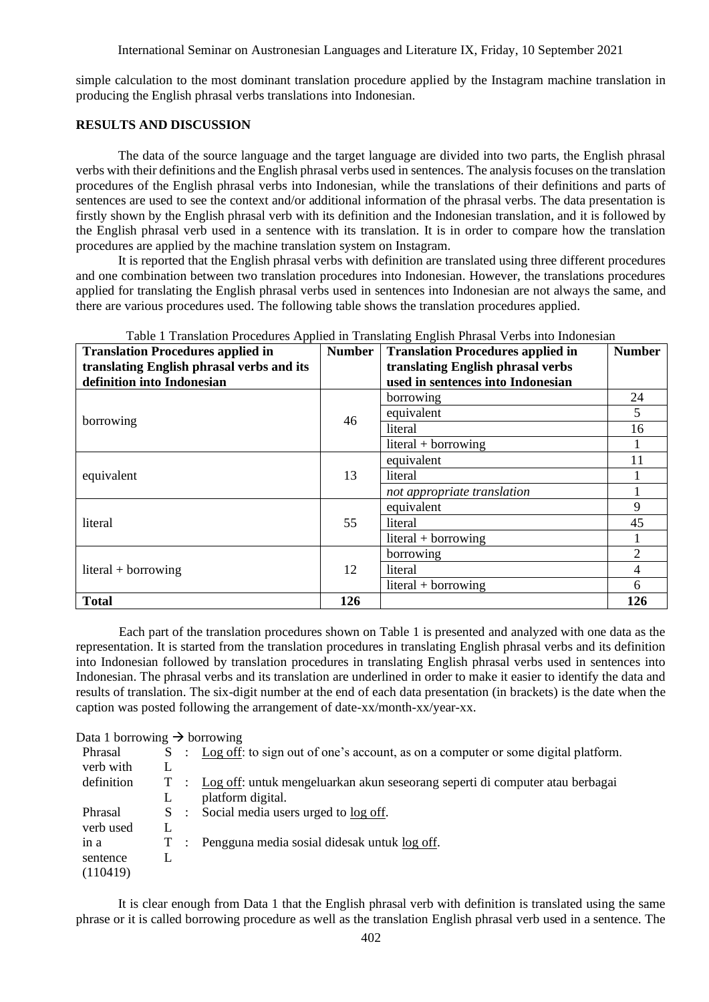simple calculation to the most dominant translation procedure applied by the Instagram machine translation in producing the English phrasal verbs translations into Indonesian.

## **RESULTS AND DISCUSSION**

The data of the source language and the target language are divided into two parts, the English phrasal verbs with their definitions and the English phrasal verbs used in sentences. The analysis focuses on the translation procedures of the English phrasal verbs into Indonesian, while the translations of their definitions and parts of sentences are used to see the context and/or additional information of the phrasal verbs. The data presentation is firstly shown by the English phrasal verb with its definition and the Indonesian translation, and it is followed by the English phrasal verb used in a sentence with its translation. It is in order to compare how the translation procedures are applied by the machine translation system on Instagram.

It is reported that the English phrasal verbs with definition are translated using three different procedures and one combination between two translation procedures into Indonesian. However, the translations procedures applied for translating the English phrasal verbs used in sentences into Indonesian are not always the same, and there are various procedures used. The following table shows the translation procedures applied.

| <b>Translation Procedures applied in</b>  | <b>Number</b> | able I Transaction I Toccurres Tipphec in Transacting English I masar 7 cross med meditional<br>Translation Procedures applied in | <b>Number</b>  |
|-------------------------------------------|---------------|-----------------------------------------------------------------------------------------------------------------------------------|----------------|
| translating English phrasal verbs and its |               | translating English phrasal verbs                                                                                                 |                |
| definition into Indonesian                |               | used in sentences into Indonesian                                                                                                 |                |
|                                           |               | borrowing                                                                                                                         | 24             |
| borrowing                                 | 46            | equivalent                                                                                                                        | 5              |
|                                           |               | literal                                                                                                                           | 16             |
|                                           |               | $literal + borrowing$                                                                                                             |                |
|                                           |               | equivalent                                                                                                                        |                |
| equivalent                                | 13            | literal                                                                                                                           |                |
|                                           |               | not appropriate translation                                                                                                       |                |
|                                           |               | equivalent                                                                                                                        | 9              |
| literal                                   | 55            | literal                                                                                                                           | 45             |
|                                           |               | $literal + borrowing$                                                                                                             |                |
|                                           |               | borrowing                                                                                                                         |                |
| $literal + borrowing$                     | 12            | literal                                                                                                                           | $\overline{4}$ |
|                                           |               | $literal + borrowing$                                                                                                             | 6              |
| <b>Total</b>                              | 126           |                                                                                                                                   | 126            |

# Table 1 Translation Procedures Applied in Translating English Phrasal Verbs into Indonesian

Each part of the translation procedures shown on Table 1 is presented and analyzed with one data as the representation. It is started from the translation procedures in translating English phrasal verbs and its definition into Indonesian followed by translation procedures in translating English phrasal verbs used in sentences into Indonesian. The phrasal verbs and its translation are underlined in order to make it easier to identify the data and results of translation. The six-digit number at the end of each data presentation (in brackets) is the date when the caption was posted following the arrangement of date-xx/month-xx/year-xx.

### Data 1 borrowing  $\rightarrow$  borrowing

| Phrasal    | S. | Log off: to sign out of one's account, as on a computer or some digital platform. |
|------------|----|-----------------------------------------------------------------------------------|
| verb with  |    |                                                                                   |
| definition | T  | Log off: untuk mengeluarkan akun seseorang seperti di computer atau berbagai      |
|            |    | platform digital.                                                                 |
| Phrasal    | S. | Social media users urged to log off.                                              |
| verb used  |    |                                                                                   |
| in a       | T  | Pengguna media sosial didesak untuk log off.                                      |
| sentence   |    |                                                                                   |
| (110419)   |    |                                                                                   |

It is clear enough from Data 1 that the English phrasal verb with definition is translated using the same phrase or it is called borrowing procedure as well as the translation English phrasal verb used in a sentence. The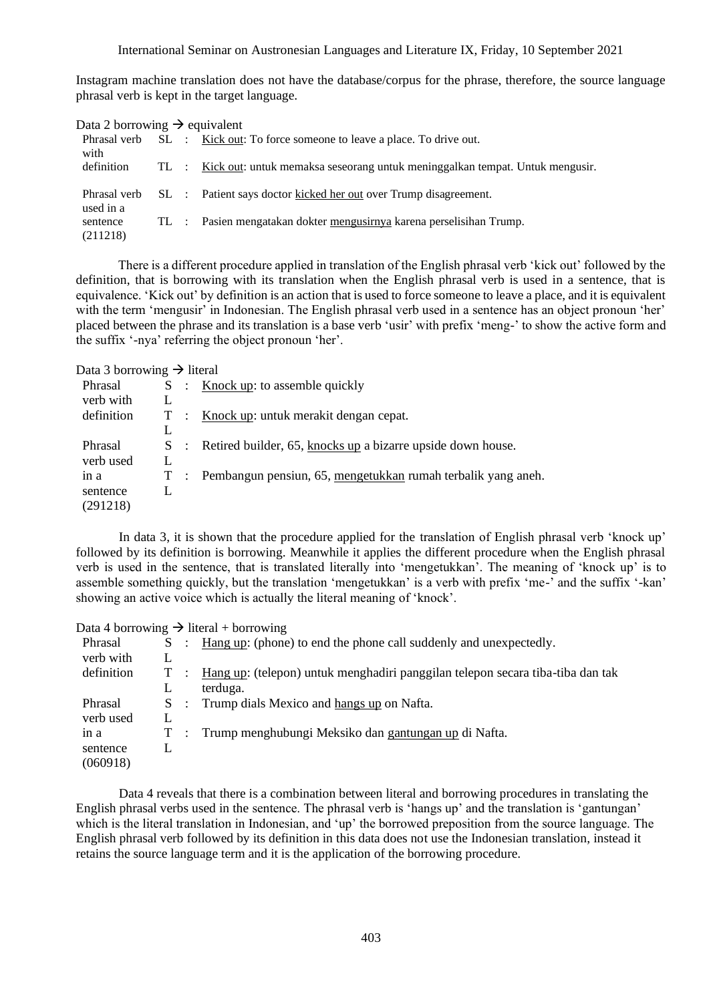#### International Seminar on Austronesian Languages and Literature IX, Friday, 10 September 2021

Instagram machine translation does not have the database/corpus for the phrase, therefore, the source language phrasal verb is kept in the target language.

| Data 2 borrowing $\rightarrow$ equivalent |  |                                                                                      |
|-------------------------------------------|--|--------------------------------------------------------------------------------------|
| with                                      |  | Phrasal verb SL : <u>Kick out</u> : To force someone to leave a place. To drive out. |
| definition                                |  | TL : Kick out: untuk memaksa seseorang untuk meninggalkan tempat. Untuk mengusir.    |
| used in a                                 |  | Phrasal verb SL : Patient says doctor kicked her out over Trump disagreement.        |
| sentence<br>(211218)                      |  | TL : Pasien mengatakan dokter mengusirnya karena perselisihan Trump.                 |

There is a different procedure applied in translation of the English phrasal verb 'kick out' followed by the definition, that is borrowing with its translation when the English phrasal verb is used in a sentence, that is equivalence. 'Kick out' by definition is an action that is used to force someone to leave a place, and it is equivalent with the term 'mengusir' in Indonesian. The English phrasal verb used in a sentence has an object pronoun 'her' placed between the phrase and its translation is a base verb 'usir' with prefix 'meng-' to show the active form and the suffix '-nya' referring the object pronoun 'her'.

Data 3 borrowing  $\rightarrow$  literal

| Phrasal    |                      | : Knock up: to assemble quickly                                 |
|------------|----------------------|-----------------------------------------------------------------|
| verb with  |                      |                                                                 |
| definition | $\ddot{\phantom{a}}$ | Knock up: untuk merakit dengan cepat.                           |
|            |                      |                                                                 |
| Phrasal    |                      | S : Retired builder, 65, knocks up a bizarre upside down house. |
| verb used  |                      |                                                                 |
| in a       |                      | Pembangun pensiun, 65, mengetukkan rumah terbalik yang aneh.    |
| sentence   |                      |                                                                 |
| (291218)   |                      |                                                                 |

In data 3, it is shown that the procedure applied for the translation of English phrasal verb 'knock up' followed by its definition is borrowing. Meanwhile it applies the different procedure when the English phrasal verb is used in the sentence, that is translated literally into 'mengetukkan'. The meaning of 'knock up' is to assemble something quickly, but the translation 'mengetukkan' is a verb with prefix 'me-' and the suffix '-kan' showing an active voice which is actually the literal meaning of 'knock'.

Data 4 borrowing  $\rightarrow$  literal + borrowing

| Phrasal    | S. |                       | Hang up: (phone) to end the phone call suddenly and unexpectedly.              |
|------------|----|-----------------------|--------------------------------------------------------------------------------|
| verb with  |    |                       |                                                                                |
| definition | T. |                       | Hang up: (telepon) untuk menghadiri panggilan telepon secara tiba-tiba dan tak |
|            |    |                       | terduga.                                                                       |
| Phrasal    | S. | $\dddot{\phantom{1}}$ | Trump dials Mexico and hangs up on Nafta.                                      |
| verb used  |    |                       |                                                                                |
| in a       | T. |                       | Trump menghubungi Meksiko dan gantungan up di Nafta.                           |
| sentence   |    |                       |                                                                                |
| (060918)   |    |                       |                                                                                |

Data 4 reveals that there is a combination between literal and borrowing procedures in translating the English phrasal verbs used in the sentence. The phrasal verb is 'hangs up' and the translation is 'gantungan' which is the literal translation in Indonesian, and 'up' the borrowed preposition from the source language. The English phrasal verb followed by its definition in this data does not use the Indonesian translation, instead it retains the source language term and it is the application of the borrowing procedure.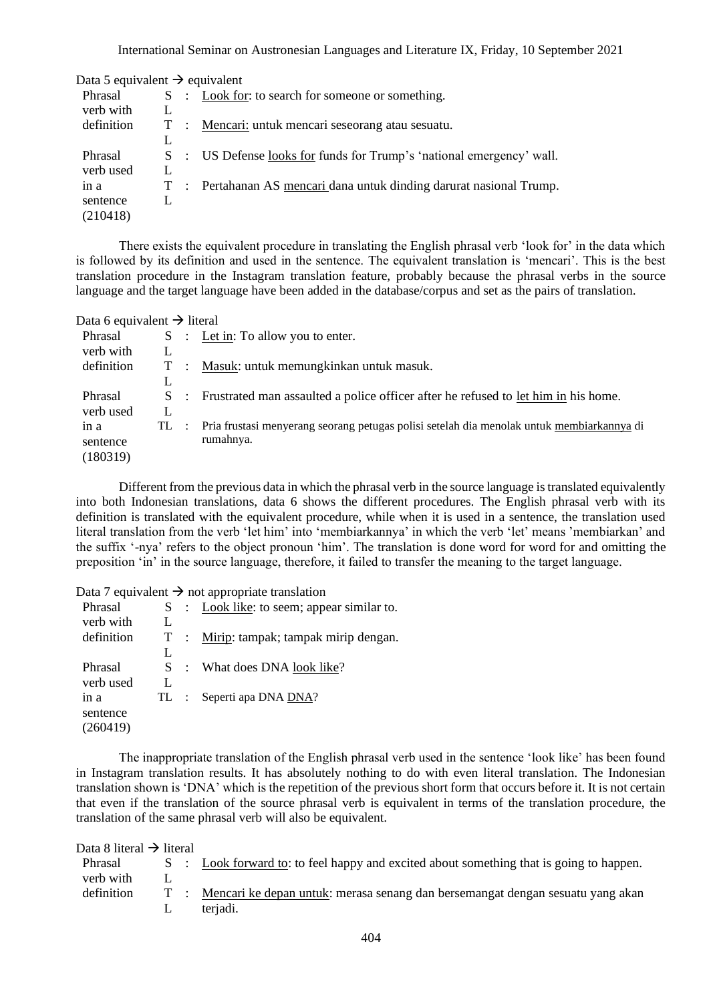| Data 5 equivalent $\rightarrow$ equivalent |    |                                                                     |
|--------------------------------------------|----|---------------------------------------------------------------------|
| Phrasal                                    |    | S : Look for: to search for someone or something.                   |
| verb with                                  |    |                                                                     |
| definition                                 | T  | : Mencari: untuk mencari seseorang atau sesuatu.                    |
|                                            | L  |                                                                     |
| Phrasal                                    | S. | : US Defense looks for funds for Trump's 'national emergency' wall. |
| verb used                                  |    |                                                                     |
| in a                                       | T  | Pertahanan AS mencari dana untuk dinding darurat nasional Trump.    |
| sentence                                   |    |                                                                     |
| (210418)                                   |    |                                                                     |

There exists the equivalent procedure in translating the English phrasal verb 'look for' in the data which is followed by its definition and used in the sentence. The equivalent translation is 'mencari'. This is the best translation procedure in the Instagram translation feature, probably because the phrasal verbs in the source language and the target language have been added in the database/corpus and set as the pairs of translation.

| Data 6 equivalent $\rightarrow$ literal |        |                |                                                                                           |
|-----------------------------------------|--------|----------------|-------------------------------------------------------------------------------------------|
| Phrasal                                 |        | S :            | Let in: To allow you to enter.                                                            |
| verb with                               |        |                |                                                                                           |
| definition                              | T      | $\mathbb{R}^2$ | Masuk: untuk memungkinkan untuk masuk.                                                    |
|                                         | L      |                |                                                                                           |
| Phrasal                                 | S.     | $\cdot$ .      | Frustrated man assaulted a police officer after he refused to let him in his home.        |
| verb used                               |        |                |                                                                                           |
| in a                                    | $TL$ : |                | Pria frustasi menyerang seorang petugas polisi setelah dia menolak untuk membiarkannya di |
| sentence                                |        |                | rumahnya.                                                                                 |
| (180319)                                |        |                |                                                                                           |

Different from the previous data in which the phrasal verb in the source language is translated equivalently into both Indonesian translations, data 6 shows the different procedures. The English phrasal verb with its definition is translated with the equivalent procedure, while when it is used in a sentence, the translation used literal translation from the verb 'let him' into 'membiarkannya' in which the verb 'let' means 'membiarkan' and the suffix '-nya' refers to the object pronoun 'him'. The translation is done word for word for and omitting the preposition 'in' in the source language, therefore, it failed to transfer the meaning to the target language.

Data 7 equivalent  $\rightarrow$  not appropriate translation

| Phrasal    | S. | $\mathcal{L}$  | Look like: to seem; appear similar to. |
|------------|----|----------------|----------------------------------------|
| verb with  | L  |                |                                        |
| definition |    |                | Mirip: tampak; tampak mirip dengan.    |
|            | L  |                |                                        |
| Phrasal    | S  |                | What does DNA look like?               |
| verb used  | L  |                |                                        |
| in a       | ТL | $\mathbb{R}^n$ | Seperti apa DNA DNA?                   |
| sentence   |    |                |                                        |
| (260419)   |    |                |                                        |
|            |    |                |                                        |

The inappropriate translation of the English phrasal verb used in the sentence 'look like' has been found in Instagram translation results. It has absolutely nothing to do with even literal translation. The Indonesian translation shown is 'DNA' which is the repetition of the previous short form that occurs before it. It is not certain that even if the translation of the source phrasal verb is equivalent in terms of the translation procedure, the translation of the same phrasal verb will also be equivalent.

Data 8 literal  $\rightarrow$  literal

| Phrasal    |  | Look forward to: to feel happy and excited about something that is going to happen. |
|------------|--|-------------------------------------------------------------------------------------|
| verb with  |  |                                                                                     |
| definition |  | T : Mencari ke depan untuk: merasa senang dan bersemangat dengan sesuatu yang akan  |
|            |  | teriadi.                                                                            |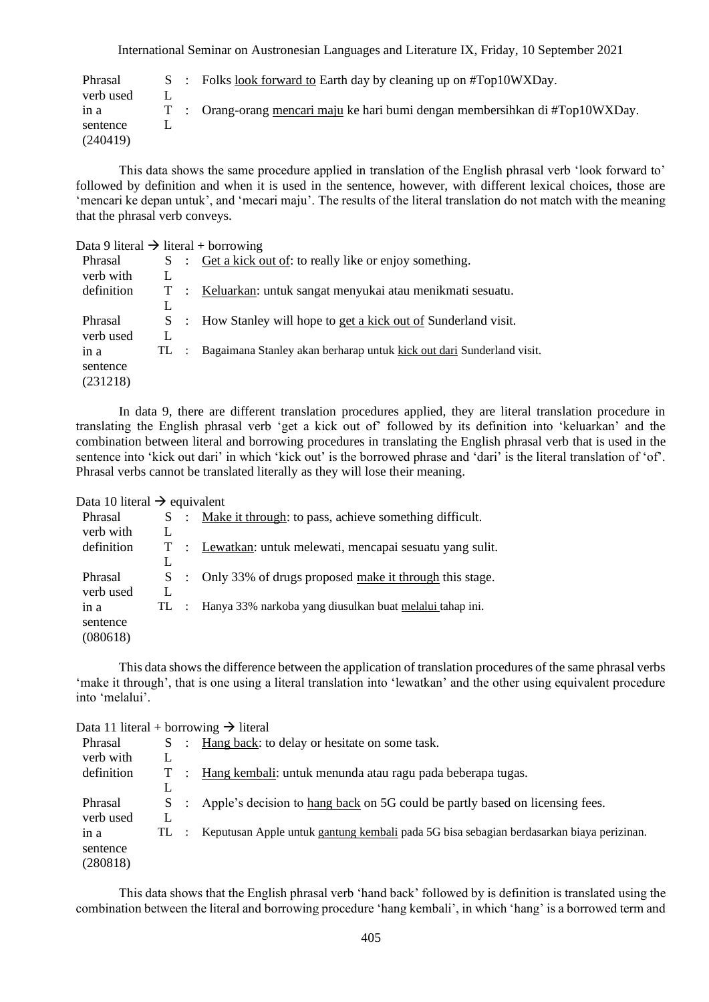International Seminar on Austronesian Languages and Literature IX, Friday, 10 September 2021

| Phrasal   |  | S : Folks look forward to Earth day by cleaning up on $\text{\#Top10WXD}$ .   |
|-----------|--|-------------------------------------------------------------------------------|
| verb used |  |                                                                               |
| in a      |  | T : Orang-orang mencari maju ke hari bumi dengan membersihkan di #Top10WXDay. |
| sentence  |  |                                                                               |
| (240419)  |  |                                                                               |

This data shows the same procedure applied in translation of the English phrasal verb 'look forward to' followed by definition and when it is used in the sentence, however, with different lexical choices, those are 'mencari ke depan untuk', and 'mecari maju'. The results of the literal translation do not match with the meaning that the phrasal verb conveys.

| Data 9 literal $\rightarrow$ literal + borrowing |     |                                                                       |
|--------------------------------------------------|-----|-----------------------------------------------------------------------|
| Phrasal                                          | S   | : Get a kick out of: to really like or enjoy something.               |
| verb with                                        | L   |                                                                       |
| definition                                       | T   | : Keluarkan: untuk sangat menyukai atau menikmati sesuatu.            |
|                                                  | L   |                                                                       |
| Phrasal                                          | S   | : How Stanley will hope to get a kick out of Sunderland visit.        |
| verb used                                        | L   |                                                                       |
| in a                                             | TL. | Bagaimana Stanley akan berharap untuk kick out dari Sunderland visit. |
| sentence                                         |     |                                                                       |
| (231218)                                         |     |                                                                       |

In data 9, there are different translation procedures applied, they are literal translation procedure in translating the English phrasal verb 'get a kick out of' followed by its definition into 'keluarkan' and the combination between literal and borrowing procedures in translating the English phrasal verb that is used in the sentence into 'kick out dari' in which 'kick out' is the borrowed phrase and 'dari' is the literal translation of 'of'. Phrasal verbs cannot be translated literally as they will lose their meaning.

Data 10 literal  $\rightarrow$  equivalent

|    | Make it through: to pass, achieve something difficult.   |
|----|----------------------------------------------------------|
|    |                                                          |
|    | : Lewatkan: untuk melewati, mencapai sesuatu yang sulit. |
|    |                                                          |
| S  | : Only 33% of drugs proposed make it through this stage. |
|    |                                                          |
| TL | Hanya 33% narkoba yang diusulkan buat melalui tahap ini. |
|    |                                                          |
|    |                                                          |
|    | S :                                                      |

This data shows the difference between the application of translation procedures of the same phrasal verbs 'make it through', that is one using a literal translation into 'lewatkan' and the other using equivalent procedure into 'melalui'.

| Data 11 literal + borrowing $\rightarrow$ literal |       |  |                                                                                          |  |  |  |  |  |  |
|---------------------------------------------------|-------|--|------------------------------------------------------------------------------------------|--|--|--|--|--|--|
| Phrasal                                           |       |  | S : Hang back: to delay or hesitate on some task.                                        |  |  |  |  |  |  |
| verb with                                         |       |  |                                                                                          |  |  |  |  |  |  |
| definition                                        | $T$ : |  | Hang kembali: untuk menunda atau ragu pada beberapa tugas.                               |  |  |  |  |  |  |
|                                                   |       |  |                                                                                          |  |  |  |  |  |  |
| Phrasal                                           | $S$ : |  | Apple's decision to hang back on 5G could be partly based on licensing fees.             |  |  |  |  |  |  |
| verb used                                         |       |  |                                                                                          |  |  |  |  |  |  |
| in a                                              | TL :  |  | Keputusan Apple untuk gantung kembali pada 5G bisa sebagian berdasarkan biaya perizinan. |  |  |  |  |  |  |
| sentence                                          |       |  |                                                                                          |  |  |  |  |  |  |
| (280818)                                          |       |  |                                                                                          |  |  |  |  |  |  |

This data shows that the English phrasal verb 'hand back' followed by is definition is translated using the combination between the literal and borrowing procedure 'hang kembali', in which 'hang' is a borrowed term and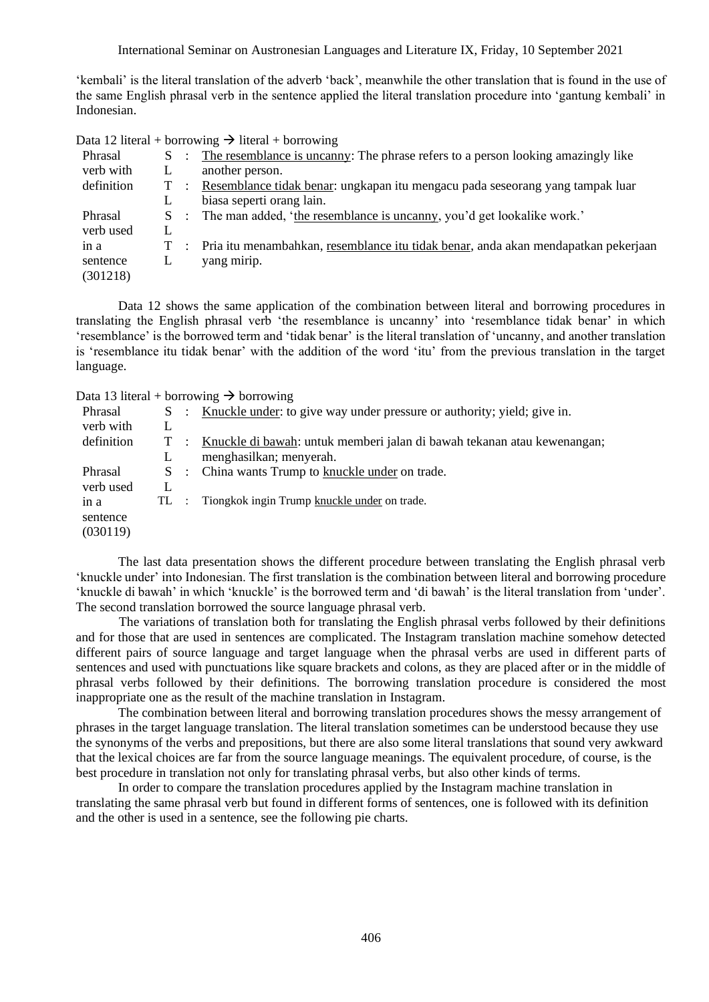'kembali' is the literal translation of the adverb 'back', meanwhile the other translation that is found in the use of the same English phrasal verb in the sentence applied the literal translation procedure into 'gantung kembali' in Indonesian.

Data 12 literal + borrowing  $\rightarrow$  literal + borrowing

| Phrasal    |       |                      | S : The resemblance is uncanny: The phrase refers to a person looking amazingly like |
|------------|-------|----------------------|--------------------------------------------------------------------------------------|
| verb with  |       |                      | another person.                                                                      |
| definition |       | T :                  | Resemblance tidak benar: ungkapan itu mengacu pada seseorang yang tampak luar        |
|            |       |                      | biasa seperti orang lain.                                                            |
| Phrasal    |       | $S \cdot \mathbb{R}$ | The man added, 'the resemblance is uncanny, you'd get lookalike work.'               |
| verb used  |       |                      |                                                                                      |
| in a       | $T$ : |                      | Pria itu menambahkan, resemblance itu tidak benar, anda akan mendapatkan pekerjaan   |
| sentence   | L     |                      | yang mirip.                                                                          |
| (301218)   |       |                      |                                                                                      |

Data 12 shows the same application of the combination between literal and borrowing procedures in translating the English phrasal verb 'the resemblance is uncanny' into 'resemblance tidak benar' in which 'resemblance' is the borrowed term and 'tidak benar' is the literal translation of 'uncanny, and another translation is 'resemblance itu tidak benar' with the addition of the word 'itu' from the previous translation in the target language.

Data 13 literal + borrowing  $\rightarrow$  borrowing

| Phrasal    |       | S : Knuckle under: to give way under pressure or authority; yield; give in. |
|------------|-------|-----------------------------------------------------------------------------|
| verb with  | L     |                                                                             |
| definition | $T$ : | Knuckle di bawah: untuk memberi jalan di bawah tekanan atau kewenangan;     |
|            | L     | menghasilkan; menyerah.                                                     |
| Phrasal    |       | S : China wants Trump to knuckle under on trade.                            |
| verb used  |       |                                                                             |
| in a       |       | TL : Tiongkok ingin Trump knuckle under on trade.                           |
| sentence   |       |                                                                             |
| (030119)   |       |                                                                             |
|            |       |                                                                             |

The last data presentation shows the different procedure between translating the English phrasal verb 'knuckle under' into Indonesian. The first translation is the combination between literal and borrowing procedure 'knuckle di bawah' in which 'knuckle' is the borrowed term and 'di bawah' is the literal translation from 'under'. The second translation borrowed the source language phrasal verb.

The variations of translation both for translating the English phrasal verbs followed by their definitions and for those that are used in sentences are complicated. The Instagram translation machine somehow detected different pairs of source language and target language when the phrasal verbs are used in different parts of sentences and used with punctuations like square brackets and colons, as they are placed after or in the middle of phrasal verbs followed by their definitions. The borrowing translation procedure is considered the most inappropriate one as the result of the machine translation in Instagram.

The combination between literal and borrowing translation procedures shows the messy arrangement of phrases in the target language translation. The literal translation sometimes can be understood because they use the synonyms of the verbs and prepositions, but there are also some literal translations that sound very awkward that the lexical choices are far from the source language meanings. The equivalent procedure, of course, is the best procedure in translation not only for translating phrasal verbs, but also other kinds of terms.

In order to compare the translation procedures applied by the Instagram machine translation in translating the same phrasal verb but found in different forms of sentences, one is followed with its definition and the other is used in a sentence, see the following pie charts.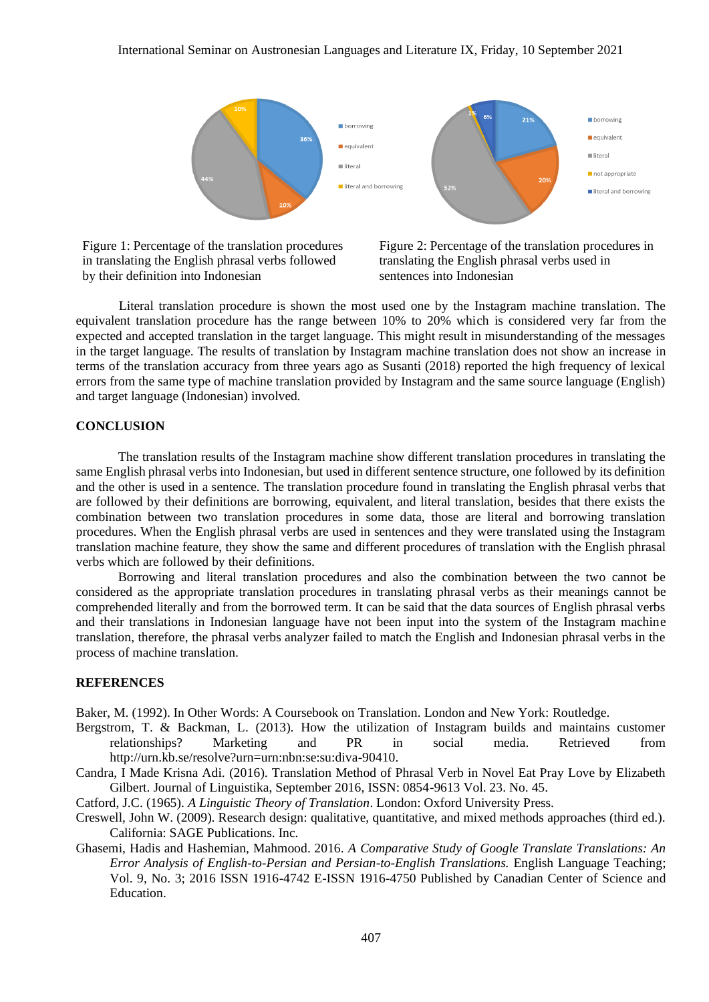

Figure 1: Percentage of the translation procedures in translating the English phrasal verbs followed by their definition into Indonesian

Figure 2: Percentage of the translation procedures in translating the English phrasal verbs used in sentences into Indonesian

Literal translation procedure is shown the most used one by the Instagram machine translation. The equivalent translation procedure has the range between 10% to 20% which is considered very far from the expected and accepted translation in the target language. This might result in misunderstanding of the messages in the target language. The results of translation by Instagram machine translation does not show an increase in terms of the translation accuracy from three years ago as Susanti (2018) reported the high frequency of lexical errors from the same type of machine translation provided by Instagram and the same source language (English) and target language (Indonesian) involved.

### **CONCLUSION**

The translation results of the Instagram machine show different translation procedures in translating the same English phrasal verbs into Indonesian, but used in different sentence structure, one followed by its definition and the other is used in a sentence. The translation procedure found in translating the English phrasal verbs that are followed by their definitions are borrowing, equivalent, and literal translation, besides that there exists the combination between two translation procedures in some data, those are literal and borrowing translation procedures. When the English phrasal verbs are used in sentences and they were translated using the Instagram translation machine feature, they show the same and different procedures of translation with the English phrasal verbs which are followed by their definitions.

Borrowing and literal translation procedures and also the combination between the two cannot be considered as the appropriate translation procedures in translating phrasal verbs as their meanings cannot be comprehended literally and from the borrowed term. It can be said that the data sources of English phrasal verbs and their translations in Indonesian language have not been input into the system of the Instagram machine translation, therefore, the phrasal verbs analyzer failed to match the English and Indonesian phrasal verbs in the process of machine translation.

### **REFERENCES**

Baker, M. (1992). In Other Words: A Coursebook on Translation. London and New York: Routledge.

- Bergstrom, T. & Backman, L. (2013). How the utilization of Instagram builds and maintains customer relationships? Marketing and PR in social media. Retrieved from http://urn.kb.se/resolve?urn=urn:nbn:se:su:diva-90410.
- Candra, I Made Krisna Adi. (2016). Translation Method of Phrasal Verb in Novel Eat Pray Love by Elizabeth Gilbert. Journal of Linguistika, September 2016, ISSN: 0854-9613 Vol. 23. No. 45.

Catford, J.C. (1965). *A Linguistic Theory of Translation*. London: Oxford University Press.

Creswell, John W. (2009). Research design: qualitative, quantitative, and mixed methods approaches (third ed.). California: SAGE Publications. Inc.

Ghasemi, Hadis and Hashemian, Mahmood. 2016. *A Comparative Study of Google Translate Translations: An Error Analysis of English-to-Persian and Persian-to-English Translations.* English Language Teaching; Vol. 9, No. 3; 2016 ISSN 1916-4742 E-ISSN 1916-4750 Published by Canadian Center of Science and Education.